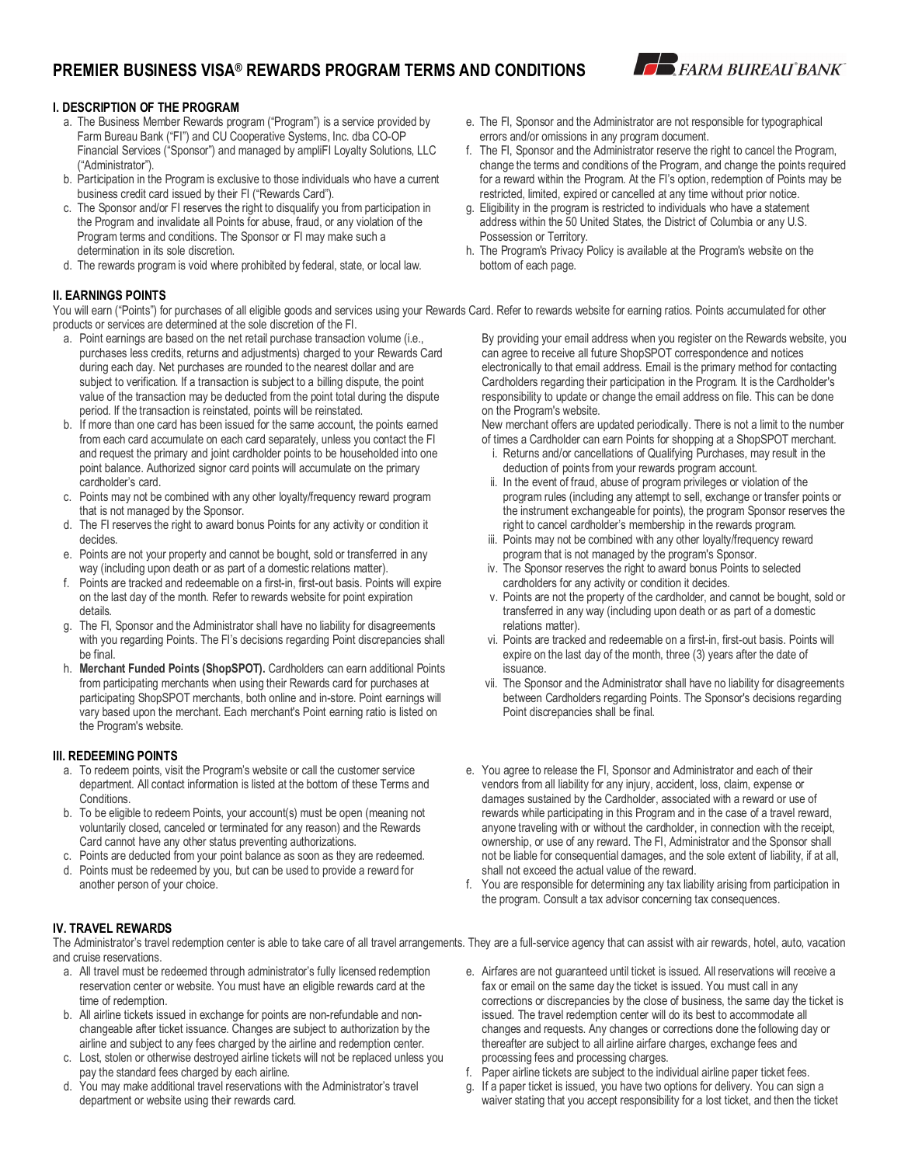# **PREMIER BUSINESS VISA® REWARDS PROGRAM TERMS AND CONDITIONS**



## **I. DESCRIPTION OF THE PROGRAM**

- a. The Business Member Rewards program ("Program") is a service provided by Farm Bureau Bank ("FI") and CU Cooperative Systems, Inc. dba CO-OP Financial Services ("Sponsor") and managed by ampliFI Loyalty Solutions, LLC ("Administrator").
- b. Participation in the Program is exclusive to those individuals who have a current business credit card issued by their FI ("Rewards Card").
- c. The Sponsor and/or FI reserves the right to disqualify you from participation in the Program and invalidate all Points for abuse, fraud, or any violation of the Program terms and conditions. The Sponsor or FI may make such a determination in its sole discretion.
- d. The rewards program is void where prohibited by federal, state, or local law.

### **II. EARNINGS POINTS**

You will earn ("Points") for purchases of all eligible goods and services using your Rewards Card. Refer to rewards website for earning ratios. Points accumulated for other products or services are determined at the sole discretion of the FI.

- a. Point earnings are based on the net retail purchase transaction volume (i.e., purchases less credits, returns and adjustments) charged to your Rewards Card during each day. Net purchases are rounded to the nearest dollar and are subject to verification. If a transaction is subject to a billing dispute, the point value of the transaction may be deducted from the point total during the dispute period. If the transaction is reinstated, points will be reinstated.
- b. If more than one card has been issued for the same account, the points earned from each card accumulate on each card separately, unless you contact the FI and request the primary and joint cardholder points to be householded into one point balance. Authorized signor card points will accumulate on the primary cardholder's card.
- c. Points may not be combined with any other loyalty/frequency reward program that is not managed by the Sponsor.
- d. The FI reserves the right to award bonus Points for any activity or condition it decides.
- e. Points are not your property and cannot be bought, sold or transferred in any way (including upon death or as part of a domestic relations matter).
- f. Points are tracked and redeemable on a first-in, first-out basis. Points will expire on the last day of the month. Refer to rewards website for point expiration details.
- g. The FI, Sponsor and the Administrator shall have no liability for disagreements with you regarding Points. The FI's decisions regarding Point discrepancies shall be final.
- h. **Merchant Funded Points (ShopSPOT).** Cardholders can earn additional Points from participating merchants when using their Rewards card for purchases at participating ShopSPOT merchants, both online and in-store. Point earnings will vary based upon the merchant. Each merchant's Point earning ratio is listed on the Program's website.

### **III. REDEEMING POINTS**

- a. To redeem points, visit the Program's website or call the customer service department. All contact information is listed at the bottom of these Terms and Conditions.
- b. To be eligible to redeem Points, your account(s) must be open (meaning not voluntarily closed, canceled or terminated for any reason) and the Rewards Card cannot have any other status preventing authorizations.
- c. Points are deducted from your point balance as soon as they are redeemed.
- d. Points must be redeemed by you, but can be used to provide a reward for another person of your choice.
- e. The FI, Sponsor and the Administrator are not responsible for typographical errors and/or omissions in any program document.
- f. The FI, Sponsor and the Administrator reserve the right to cancel the Program, change the terms and conditions of the Program, and change the points required for a reward within the Program. At the FI's option, redemption of Points may be restricted, limited, expired or cancelled at any time without prior notice.
- g. Eligibility in the program is restricted to individuals who have a statement address within the 50 United States, the District of Columbia or any U.S. Possession or Territory.
- h. The Program's Privacy Policy is available at the Program's website on the bottom of each page.

By providing your email address when you register on the Rewards website, you can agree to receive all future ShopSPOT correspondence and notices electronically to that email address. Email is the primary method for contacting Cardholders regarding their participation in the Program. It is the Cardholder's responsibility to update or change the email address on file. This can be done on the Program's website.

New merchant offers are updated periodically. There is not a limit to the number of times a Cardholder can earn Points for shopping at a ShopSPOT merchant.

- i. Returns and/or cancellations of Qualifying Purchases, may result in the deduction of points from your rewards program account.
- ii. In the event of fraud, abuse of program privileges or violation of the program rules (including any attempt to sell, exchange or transfer points or the instrument exchangeable for points), the program Sponsor reserves the right to cancel cardholder's membership in the rewards program.
- iii. Points may not be combined with any other loyalty/frequency reward program that is not managed by the program's Sponsor.
- iv. The Sponsor reserves the right to award bonus Points to selected cardholders for any activity or condition it decides.
- v. Points are not the property of the cardholder, and cannot be bought, sold or transferred in any way (including upon death or as part of a domestic relations matter).
- vi. Points are tracked and redeemable on a first-in, first-out basis. Points will expire on the last day of the month, three (3) years after the date of issuance.
- vii. The Sponsor and the Administrator shall have no liability for disagreements between Cardholders regarding Points. The Sponsor's decisions regarding Point discrepancies shall be final.
- e. You agree to release the FI, Sponsor and Administrator and each of their vendors from all liability for any injury, accident, loss, claim, expense or damages sustained by the Cardholder, associated with a reward or use of rewards while participating in this Program and in the case of a travel reward, anyone traveling with or without the cardholder, in connection with the receipt, ownership, or use of any reward. The FI, Administrator and the Sponsor shall not be liable for consequential damages, and the sole extent of liability, if at all, shall not exceed the actual value of the reward.
- f. You are responsible for determining any tax liability arising from participation in the program. Consult a tax advisor concerning tax consequences.

### **IV. TRAVEL REWARDS**

The Administrator's travel redemption center is able to take care of all travel arrangements. They are a full-service agency that can assist with air rewards, hotel, auto, vacation and cruise reservations.

- a. All travel must be redeemed through administrator's fully licensed redemption reservation center or website. You must have an eligible rewards card at the time of redemption.
- b. All airline tickets issued in exchange for points are non-refundable and nonchangeable after ticket issuance. Changes are subject to authorization by the airline and subject to any fees charged by the airline and redemption center.
- c. Lost, stolen or otherwise destroyed airline tickets will not be replaced unless you pay the standard fees charged by each airline.
- d. You may make additional travel reservations with the Administrator's travel department or website using their rewards card.
- e. Airfares are not guaranteed until ticket is issued. All reservations will receive a fax or email on the same day the ticket is issued. You must call in any corrections or discrepancies by the close of business, the same day the ticket is issued. The travel redemption center will do its best to accommodate all changes and requests. Any changes or corrections done the following day or thereafter are subject to all airline airfare charges, exchange fees and processing fees and processing charges.
- f. Paper airline tickets are subject to the individual airline paper ticket fees.
- g. If a paper ticket is issued, you have two options for delivery. You can sign a waiver stating that you accept responsibility for a lost ticket, and then the ticket